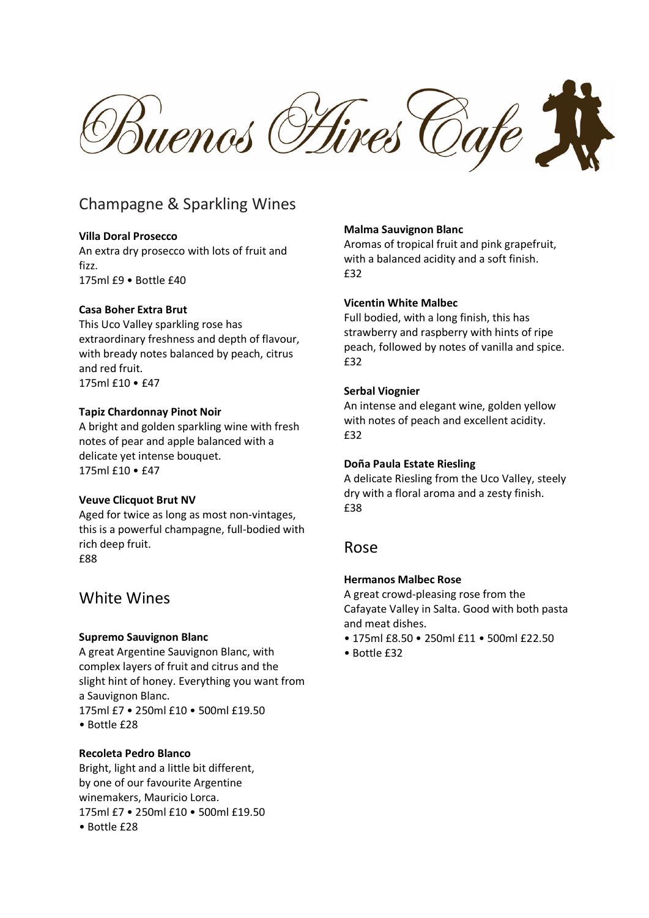Buenos Fires Cafe

# Champagne & Sparkling Wines

### **Villa Doral Prosecco**

An extra dry prosecco with lots of fruit and fizz. 175ml £9 • Bottle £40

### **Casa Boher Extra Brut**

This Uco Valley sparkling rose has extraordinary freshness and depth of flavour, with bready notes balanced by peach, citrus and red fruit. 175ml £10 • £47

### **Tapiz Chardonnay Pinot Noir**

A bright and golden sparkling wine with fresh notes of pear and apple balanced with a delicate yet intense bouquet. 175ml £10 • £47

### **Veuve Clicquot Brut NV**

Aged for twice as long as most non-vintages, this is a powerful champagne, full-bodied with rich deep fruit. £88

# White Wines

### **Supremo Sauvignon Blanc**

A great Argentine Sauvignon Blanc, with complex layers of fruit and citrus and the slight hint of honey. Everything you want from a Sauvignon Blanc. 175ml £7 • 250ml £10 • 500ml £19.50 • Bottle £28

### **Recoleta Pedro Blanco**

Bright, light and a little bit different, by one of our favourite Argentine winemakers, Mauricio Lorca. 175ml £7 • 250ml £10 • 500ml £19.50 • Bottle £28

### **Malma Sauvignon Blanc**

Aromas of tropical fruit and pink grapefruit, with a balanced acidity and a soft finish. £32

### **Vicentin White Malbec**

Full bodied, with a long finish, this has strawberry and raspberry with hints of ripe peach, followed by notes of vanilla and spice. £32

### **Serbal Viognier**

An intense and elegant wine, golden yellow with notes of peach and excellent acidity. £32

#### **Doña Paula Estate Riesling**

A delicate Riesling from the Uco Valley, steely dry with a floral aroma and a zesty finish. £38

# Rose

### **Hermanos Malbec Rose**

A great crowd-pleasing rose from the Cafayate Valley in Salta. Good with both pasta and meat dishes.

- 175ml £8.50 250ml £11 500ml £22.50
- Bottle £32